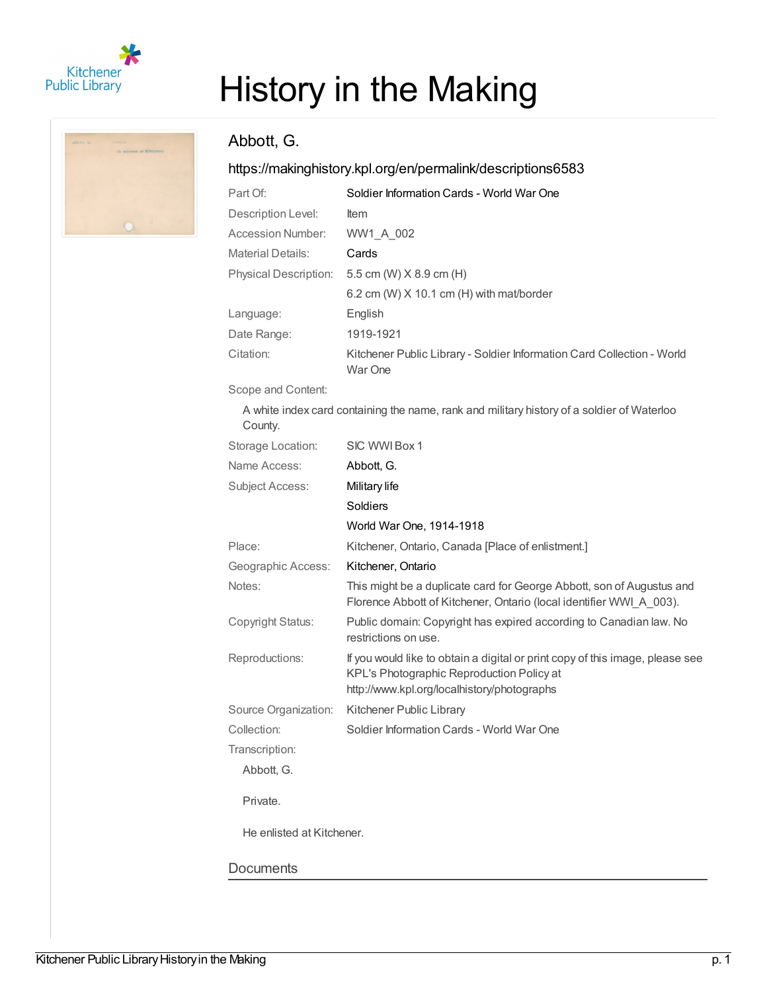

## History in the Making

## Abbott, G.

## <https://makinghistory.kpl.org/en/permalink/descriptions6583>

| Part Of:                     | Soldier Information Cards - World War One                                         |
|------------------------------|-----------------------------------------------------------------------------------|
| Description Level:           | <b>Item</b>                                                                       |
| Accession Number:            | WW1 A 002                                                                         |
| <b>Material Details:</b>     | Cards                                                                             |
| <b>Physical Description:</b> | 5.5 cm (W) $X$ 8.9 cm (H)                                                         |
|                              | 6.2 cm (W) $X$ 10.1 cm (H) with mat/border                                        |
| Language:                    | English                                                                           |
| Date Range:                  | 1919-1921                                                                         |
| Citation:                    | Kitchener Public Library - Soldier Information Card Collection - World<br>War One |
|                              |                                                                                   |

Scope and Content:

A white index card containing the name, rank and military history of a soldier of Waterloo County.

| Storage Location:         | SIC WWI Box 1                                                                                                                                                             |
|---------------------------|---------------------------------------------------------------------------------------------------------------------------------------------------------------------------|
| Name Access:              | Abbott, G.                                                                                                                                                                |
| <b>Subject Access:</b>    | Military life                                                                                                                                                             |
|                           | Soldiers                                                                                                                                                                  |
|                           | World War One, 1914-1918                                                                                                                                                  |
| Place:                    | Kitchener, Ontario, Canada [Place of enlistment.]                                                                                                                         |
| Geographic Access:        | Kitchener, Ontario                                                                                                                                                        |
| Notes:                    | This might be a duplicate card for George Abbott, son of Augustus and<br>Florence Abbott of Kitchener, Ontario (local identifier WWI A 003).                              |
| Copyright Status:         | Public domain: Copyright has expired according to Canadian law. No<br>restrictions on use.                                                                                |
| Reproductions:            | If you would like to obtain a digital or print copy of this image, please see<br>KPL's Photographic Reproduction Policy at<br>http://www.kpl.org/localhistory/photographs |
| Source Organization:      | Kitchener Public Library                                                                                                                                                  |
| Collection:               | Soldier Information Cards - World War One                                                                                                                                 |
| Transcription:            |                                                                                                                                                                           |
| Abbott, G.                |                                                                                                                                                                           |
| Private.                  |                                                                                                                                                                           |
| He enlisted at Kitchener. |                                                                                                                                                                           |
| Documents                 |                                                                                                                                                                           |
|                           |                                                                                                                                                                           |